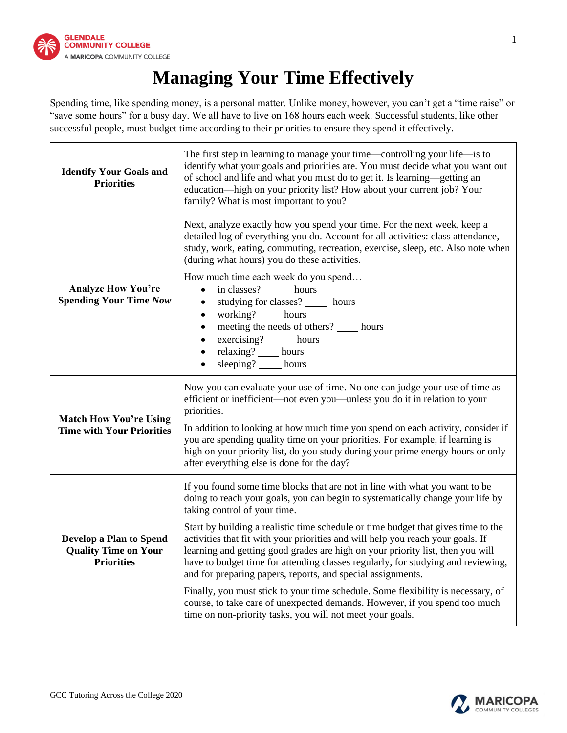

## **Managing Your Time Effectively**

Spending time, like spending money, is a personal matter. Unlike money, however, you can't get a "time raise" or "save some hours" for a busy day. We all have to live on 168 hours each week. Successful students, like other successful people, must budget time according to their priorities to ensure they spend it effectively.

| <b>Identify Your Goals and</b><br><b>Priorities</b>                                | The first step in learning to manage your time—controlling your life—is to<br>identify what your goals and priorities are. You must decide what you want out<br>of school and life and what you must do to get it. Is learning-getting an<br>education-high on your priority list? How about your current job? Your<br>family? What is most important to you?                                                                                                                 |  |  |
|------------------------------------------------------------------------------------|-------------------------------------------------------------------------------------------------------------------------------------------------------------------------------------------------------------------------------------------------------------------------------------------------------------------------------------------------------------------------------------------------------------------------------------------------------------------------------|--|--|
| <b>Analyze How You're</b><br><b>Spending Your Time Now</b>                         | Next, analyze exactly how you spend your time. For the next week, keep a<br>detailed log of everything you do. Account for all activities: class attendance,<br>study, work, eating, commuting, recreation, exercise, sleep, etc. Also note when<br>(during what hours) you do these activities.                                                                                                                                                                              |  |  |
|                                                                                    | How much time each week do you spend<br>in classes? _______ hours<br>$\bullet$<br>studying for classes? ______ hours<br>$\bullet$<br>working? _____ hours<br>$\bullet$<br>meeting the needs of others? _____ hours<br>exercising? _____ hours<br>$\bullet$<br>relaxing? ____ hours<br>$\bullet$<br>sleeping? hours<br>$\bullet$                                                                                                                                               |  |  |
| <b>Match How You're Using</b><br><b>Time with Your Priorities</b>                  | Now you can evaluate your use of time. No one can judge your use of time as<br>efficient or inefficient-not even you-unless you do it in relation to your<br>priorities.<br>In addition to looking at how much time you spend on each activity, consider if<br>you are spending quality time on your priorities. For example, if learning is<br>high on your priority list, do you study during your prime energy hours or only<br>after everything else is done for the day? |  |  |
| <b>Develop a Plan to Spend</b><br><b>Quality Time on Your</b><br><b>Priorities</b> | If you found some time blocks that are not in line with what you want to be<br>doing to reach your goals, you can begin to systematically change your life by<br>taking control of your time.                                                                                                                                                                                                                                                                                 |  |  |
|                                                                                    | Start by building a realistic time schedule or time budget that gives time to the<br>activities that fit with your priorities and will help you reach your goals. If<br>learning and getting good grades are high on your priority list, then you will<br>have to budget time for attending classes regularly, for studying and reviewing,<br>and for preparing papers, reports, and special assignments.                                                                     |  |  |
|                                                                                    | Finally, you must stick to your time schedule. Some flexibility is necessary, of<br>course, to take care of unexpected demands. However, if you spend too much<br>time on non-priority tasks, you will not meet your goals.                                                                                                                                                                                                                                                   |  |  |